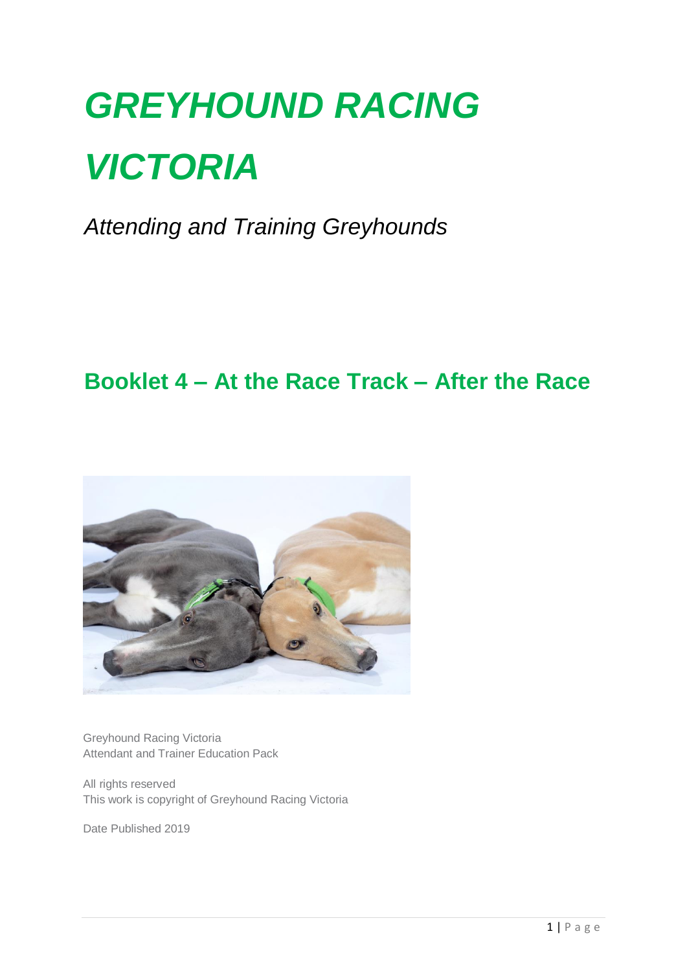# *GREYHOUND RACING VICTORIA*

*Attending and Training Greyhounds*

# **Booklet 4 – At the Race Track – After the Race**



Greyhound Racing Victoria Attendant and Trainer Education Pack

All rights reserved This work is copyright of Greyhound Racing Victoria

Date Published 2019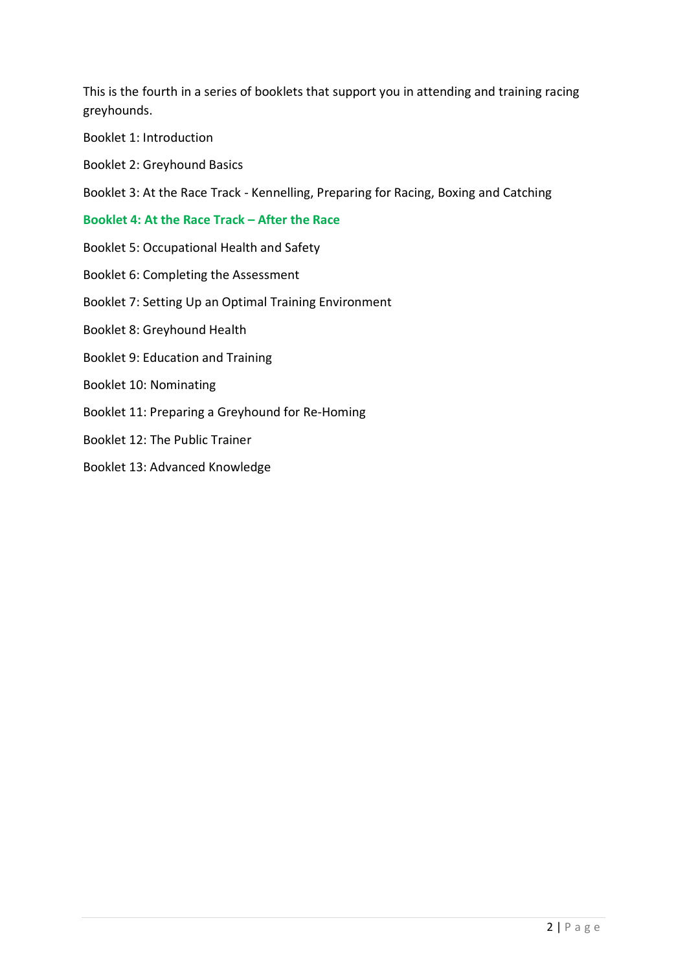This is the fourth in a series of booklets that support you in attending and training racing greyhounds.

- Booklet 1: Introduction
- Booklet 2: Greyhound Basics

Booklet 3: At the Race Track - Kennelling, Preparing for Racing, Boxing and Catching

#### **Booklet 4: At the Race Track – After the Race**

- Booklet 5: Occupational Health and Safety
- Booklet 6: Completing the Assessment
- Booklet 7: Setting Up an Optimal Training Environment
- Booklet 8: Greyhound Health
- Booklet 9: Education and Training
- Booklet 10: Nominating
- Booklet 11: Preparing a Greyhound for Re-Homing
- Booklet 12: The Public Trainer
- Booklet 13: Advanced Knowledge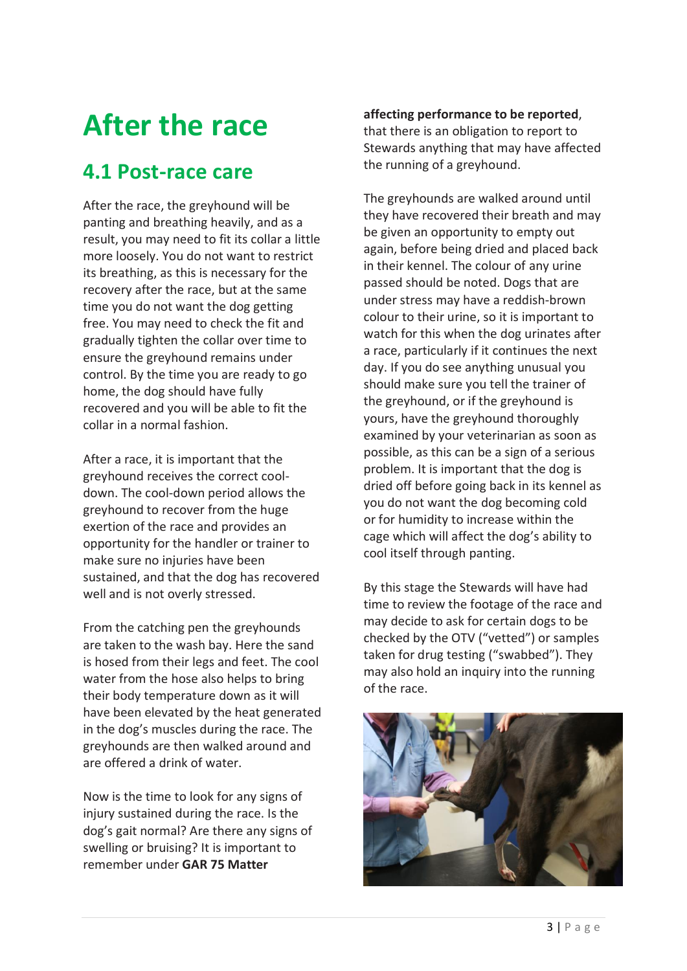# **After the race**

### **4.1 Post-race care**

After the race, the greyhound will be panting and breathing heavily, and as a result, you may need to fit its collar a little more loosely. You do not want to restrict its breathing, as this is necessary for the recovery after the race, but at the same time you do not want the dog getting free. You may need to check the fit and gradually tighten the collar over time to ensure the greyhound remains under control. By the time you are ready to go home, the dog should have fully recovered and you will be able to fit the collar in a normal fashion.

After a race, it is important that the greyhound receives the correct cooldown. The cool-down period allows the greyhound to recover from the huge exertion of the race and provides an opportunity for the handler or trainer to make sure no injuries have been sustained, and that the dog has recovered well and is not overly stressed.

From the catching pen the greyhounds are taken to the wash bay. Here the sand is hosed from their legs and feet. The cool water from the hose also helps to bring their body temperature down as it will have been elevated by the heat generated in the dog's muscles during the race. The greyhounds are then walked around and are offered a drink of water.

Now is the time to look for any signs of injury sustained during the race. Is the dog's gait normal? Are there any signs of swelling or bruising? It is important to remember under **GAR 75 Matter** 

#### **affecting performance to be reported**,

that there is an obligation to report to Stewards anything that may have affected the running of a greyhound.

The greyhounds are walked around until they have recovered their breath and may be given an opportunity to empty out again, before being dried and placed back in their kennel. The colour of any urine passed should be noted. Dogs that are under stress may have a reddish-brown colour to their urine, so it is important to watch for this when the dog urinates after a race, particularly if it continues the next day. If you do see anything unusual you should make sure you tell the trainer of the greyhound, or if the greyhound is yours, have the greyhound thoroughly examined by your veterinarian as soon as possible, as this can be a sign of a serious problem. It is important that the dog is dried off before going back in its kennel as you do not want the dog becoming cold or for humidity to increase within the cage which will affect the dog's ability to cool itself through panting.

By this stage the Stewards will have had time to review the footage of the race and may decide to ask for certain dogs to be checked by the OTV ("vetted") or samples taken for drug testing ("swabbed"). They may also hold an inquiry into the running of the race.

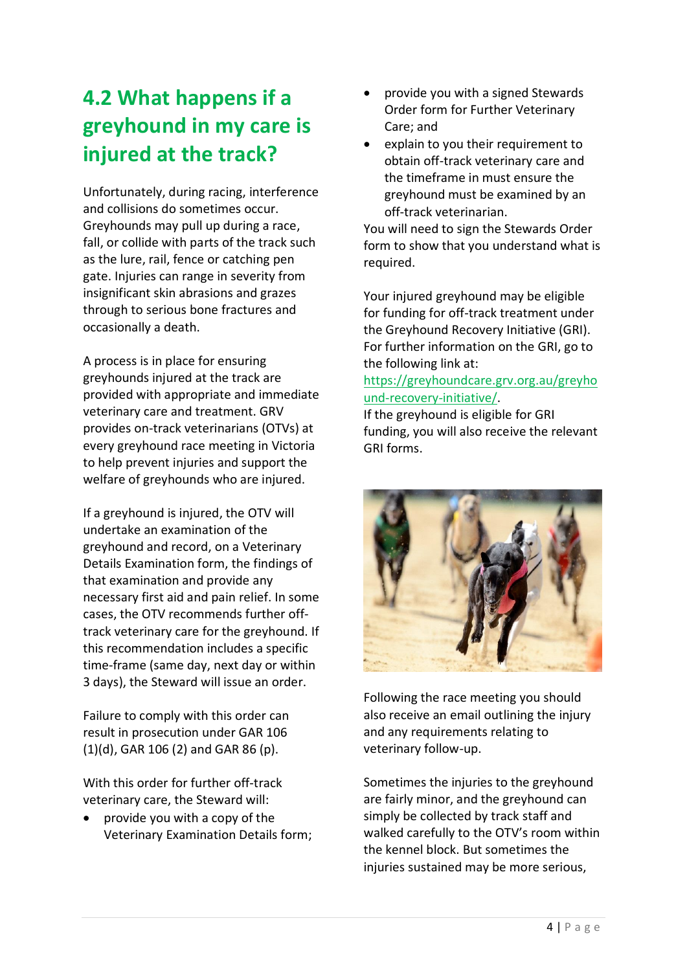# **4.2 What happens if a greyhound in my care is injured at the track?**

Unfortunately, during racing, interference and collisions do sometimes occur. Greyhounds may pull up during a race, fall, or collide with parts of the track such as the lure, rail, fence or catching pen gate. Injuries can range in severity from insignificant skin abrasions and grazes through to serious bone fractures and occasionally a death.

A process is in place for ensuring greyhounds injured at the track are provided with appropriate and immediate veterinary care and treatment. GRV provides on-track veterinarians (OTVs) at every greyhound race meeting in Victoria to help prevent injuries and support the welfare of greyhounds who are injured.

If a greyhound is injured, the OTV will undertake an examination of the greyhound and record, on a Veterinary Details Examination form, the findings of that examination and provide any necessary first aid and pain relief. In some cases, the OTV recommends further offtrack veterinary care for the greyhound. If this recommendation includes a specific time-frame (same day, next day or within 3 days), the Steward will issue an order.

Failure to comply with this order can result in prosecution under GAR 106 (1)(d), GAR 106 (2) and GAR 86 (p).

With this order for further off-track veterinary care, the Steward will:

• provide you with a copy of the Veterinary Examination Details form;

- provide you with a signed Stewards Order form for Further Veterinary Care; and
- explain to you their requirement to obtain off-track veterinary care and the timeframe in must ensure the greyhound must be examined by an off-track veterinarian.

You will need to sign the Stewards Order form to show that you understand what is required.

Your injured greyhound may be eligible for funding for off-track treatment under the Greyhound Recovery Initiative (GRI). For further information on the GRI, go to the following link at:

[https://greyhoundcare.grv.org.au/greyho](https://greyhoundcare.grv.org.au/greyhound-recovery-initiative/) [und-recovery-initiative/.](https://greyhoundcare.grv.org.au/greyhound-recovery-initiative/)

If the greyhound is eligible for GRI funding, you will also receive the relevant GRI forms.



Following the race meeting you should also receive an email outlining the injury and any requirements relating to veterinary follow-up.

Sometimes the injuries to the greyhound are fairly minor, and the greyhound can simply be collected by track staff and walked carefully to the OTV's room within the kennel block. But sometimes the injuries sustained may be more serious,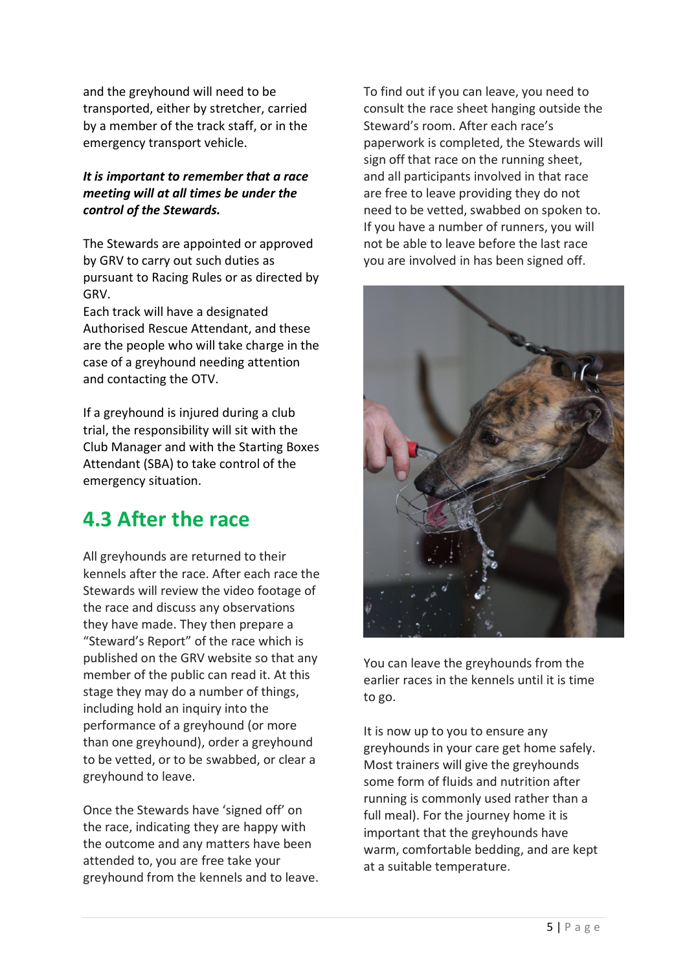and the greyhound will need to be transported, either by stretcher, carried by a member of the track staff, or in the emergency transport vehicle.

#### *It is important to remember that a race meeting will at all times be under the control of the Stewards.*

The Stewards are appointed or approved by GRV to carry out such duties as pursuant to Racing Rules or as directed by GRV.

Each track will have a designated Authorised Rescue Attendant, and these are the people who will take charge in the case of a greyhound needing attention and contacting the OTV.

If a greyhound is injured during a club trial, the responsibility will sit with the Club Manager and with the Starting Boxes Attendant (SBA) to take control of the emergency situation.

## **4.3 After the race**

All greyhounds are returned to their kennels after the race. After each race the Stewards will review the video footage of the race and discuss any observations they have made. They then prepare a "Steward's Report" of the race which is published on the GRV website so that any member of the public can read it. At this stage they may do a number of things, including hold an inquiry into the performance of a greyhound (or more than one greyhound), order a greyhound to be vetted, or to be swabbed, or clear a greyhound to leave.

Once the Stewards have 'signed off' on the race, indicating they are happy with the outcome and any matters have been attended to, you are free take your greyhound from the kennels and to leave. To find out if you can leave, you need to consult the race sheet hanging outside the Steward's room. After each race's paperwork is completed, the Stewards will sign off that race on the running sheet, and all participants involved in that race are free to leave providing they do not need to be vetted, swabbed on spoken to. If you have a number of runners, you will not be able to leave before the last race you are involved in has been signed off.



You can leave the greyhounds from the earlier races in the kennels until it is time to go.

It is now up to you to ensure any greyhounds in your care get home safely. Most trainers will give the greyhounds some form of fluids and nutrition after running is commonly used rather than a full meal). For the journey home it is important that the greyhounds have warm, comfortable bedding, and are kept at a suitable temperature.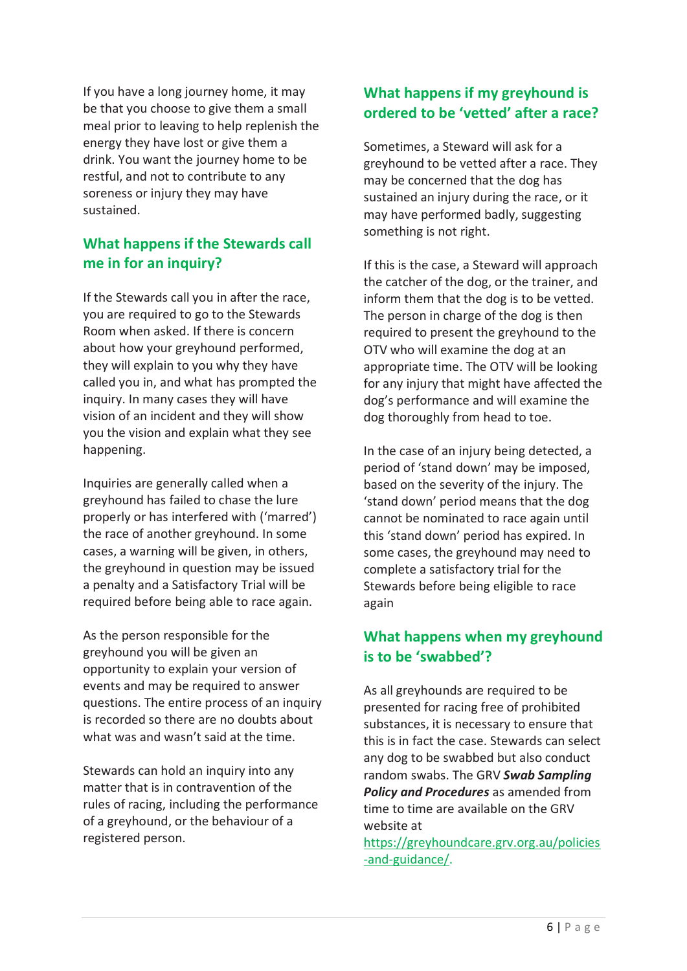If you have a long journey home, it may be that you choose to give them a small meal prior to leaving to help replenish the energy they have lost or give them a drink. You want the journey home to be restful, and not to contribute to any soreness or injury they may have sustained.

#### **What happens if the Stewards call me in for an inquiry?**

If the Stewards call you in after the race, you are required to go to the Stewards Room when asked. If there is concern about how your greyhound performed, they will explain to you why they have called you in, and what has prompted the inquiry. In many cases they will have vision of an incident and they will show you the vision and explain what they see happening.

Inquiries are generally called when a greyhound has failed to chase the lure properly or has interfered with ('marred') the race of another greyhound. In some cases, a warning will be given, in others, the greyhound in question may be issued a penalty and a Satisfactory Trial will be required before being able to race again.

As the person responsible for the greyhound you will be given an opportunity to explain your version of events and may be required to answer questions. The entire process of an inquiry is recorded so there are no doubts about what was and wasn't said at the time.

Stewards can hold an inquiry into any matter that is in contravention of the rules of racing, including the performance of a greyhound, or the behaviour of a registered person.

#### **What happens if my greyhound is ordered to be 'vetted' after a race?**

Sometimes, a Steward will ask for a greyhound to be vetted after a race. They may be concerned that the dog has sustained an injury during the race, or it may have performed badly, suggesting something is not right.

If this is the case, a Steward will approach the catcher of the dog, or the trainer, and inform them that the dog is to be vetted. The person in charge of the dog is then required to present the greyhound to the OTV who will examine the dog at an appropriate time. The OTV will be looking for any injury that might have affected the dog's performance and will examine the dog thoroughly from head to toe.

In the case of an injury being detected, a period of 'stand down' may be imposed, based on the severity of the injury. The 'stand down' period means that the dog cannot be nominated to race again until this 'stand down' period has expired. In some cases, the greyhound may need to complete a satisfactory trial for the Stewards before being eligible to race again

#### **What happens when my greyhound is to be 'swabbed'?**

As all greyhounds are required to be presented for racing free of prohibited substances, it is necessary to ensure that this is in fact the case. Stewards can select any dog to be swabbed but also conduct random swabs. The GRV *Swab Sampling Policy and Procedures* as amended from time to time are available on the GRV website at

[https://greyhoundcare.grv.org.au/policies](https://greyhoundcare.grv.org.au/policies-and-guidance/) [-and-guidance/.](https://greyhoundcare.grv.org.au/policies-and-guidance/)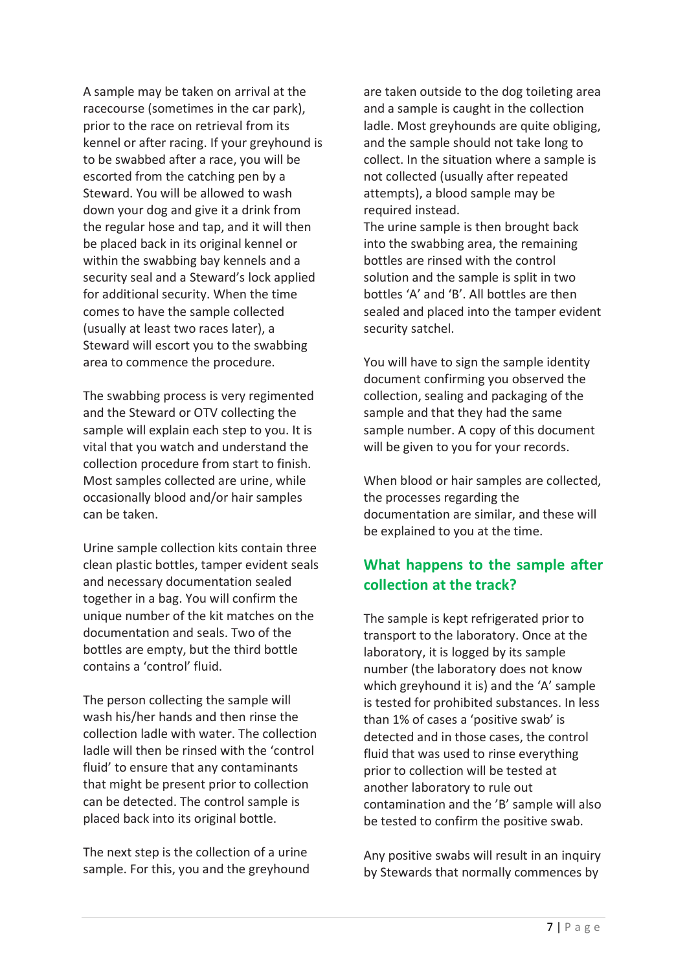A sample may be taken on arrival at the racecourse (sometimes in the car park), prior to the race on retrieval from its kennel or after racing. If your greyhound is to be swabbed after a race, you will be escorted from the catching pen by a Steward. You will be allowed to wash down your dog and give it a drink from the regular hose and tap, and it will then be placed back in its original kennel or within the swabbing bay kennels and a security seal and a Steward's lock applied for additional security. When the time comes to have the sample collected (usually at least two races later), a Steward will escort you to the swabbing area to commence the procedure.

The swabbing process is very regimented and the Steward or OTV collecting the sample will explain each step to you. It is vital that you watch and understand the collection procedure from start to finish. Most samples collected are urine, while occasionally blood and/or hair samples can be taken.

Urine sample collection kits contain three clean plastic bottles, tamper evident seals and necessary documentation sealed together in a bag. You will confirm the unique number of the kit matches on the documentation and seals. Two of the bottles are empty, but the third bottle contains a 'control' fluid.

The person collecting the sample will wash his/her hands and then rinse the collection ladle with water. The collection ladle will then be rinsed with the 'control fluid' to ensure that any contaminants that might be present prior to collection can be detected. The control sample is placed back into its original bottle.

The next step is the collection of a urine sample. For this, you and the greyhound are taken outside to the dog toileting area and a sample is caught in the collection ladle. Most greyhounds are quite obliging, and the sample should not take long to collect. In the situation where a sample is not collected (usually after repeated attempts), a blood sample may be required instead.

The urine sample is then brought back into the swabbing area, the remaining bottles are rinsed with the control solution and the sample is split in two bottles 'A' and 'B'. All bottles are then sealed and placed into the tamper evident security satchel.

You will have to sign the sample identity document confirming you observed the collection, sealing and packaging of the sample and that they had the same sample number. A copy of this document will be given to you for your records.

When blood or hair samples are collected, the processes regarding the documentation are similar, and these will be explained to you at the time.

#### **What happens to the sample after collection at the track?**

The sample is kept refrigerated prior to transport to the laboratory. Once at the laboratory, it is logged by its sample number (the laboratory does not know which greyhound it is) and the 'A' sample is tested for prohibited substances. In less than 1% of cases a 'positive swab' is detected and in those cases, the control fluid that was used to rinse everything prior to collection will be tested at another laboratory to rule out contamination and the 'B' sample will also be tested to confirm the positive swab.

Any positive swabs will result in an inquiry by Stewards that normally commences by